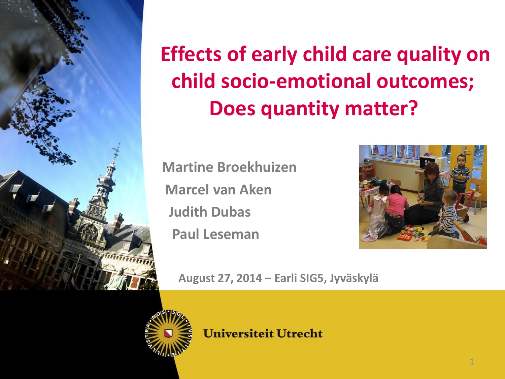

## **Effects of early child care quality on child socio-emotional outcomes; Does quantity matter?**

**Martine Broekhuizen Marcel van Aken Judith Dubas Paul Leseman**



 **August 27, 2014 – Earli SIG5, Jyväskylä** 

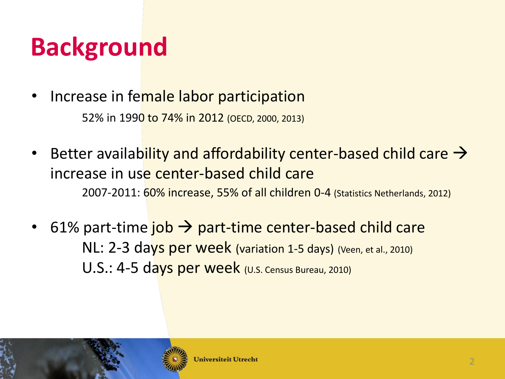# **Background**

- Increase in female labor participation 52% in 1990 to 74% in 2012 (OECD, 2000, 2013)
- Better availability and affordability center-based child care  $\rightarrow$ increase in use center-based child care 2007-2011: 60% increase, 55% of all children 0-4 (Statistics Netherlands, 2012)
- 61% part-time  $job \rightarrow$  part-time center-based child care NL: 2-3 days per week (variation 1-5 days) (Veen, et al., 2010) U.S.: 4-5 days per week (U.S. Census Bureau, 2010)

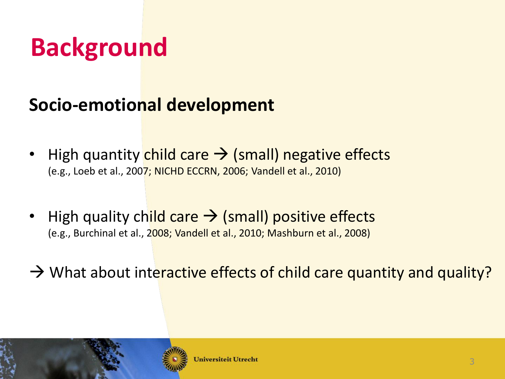# **Background**

### **Socio-emotional development**

- High quantity child care  $\rightarrow$  (small) negative effects (e.g., Loeb et al., 2007; NICHD ECCRN, 2006; Vandell et al., 2010)
- High quality child care  $\rightarrow$  (small) positive effects (e.g., Burchinal et al., 2008; Vandell et al., 2010; Mashburn et al., 2008)
- $\rightarrow$  What about interactive effects of child care quantity and quality?

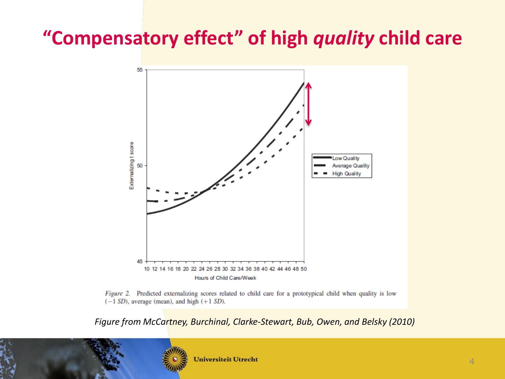### **"Compensatory effect" of high** *quality* **child care**





*Figure from McCartney, Burchinal, Clarke-Stewart, Bub, Owen, and Belsky (2010)* 

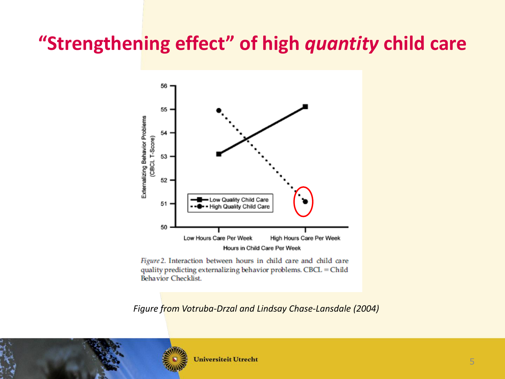### **"Strengthening effect" of high** *quantity* **child care**



Figure 2. Interaction between hours in child care and child care quality predicting externalizing behavior problems. CBCL = Child **Behavior Checklist.** 

*Figure from Votruba‐Drzal and Lindsay Chase‐Lansdale (2004)*

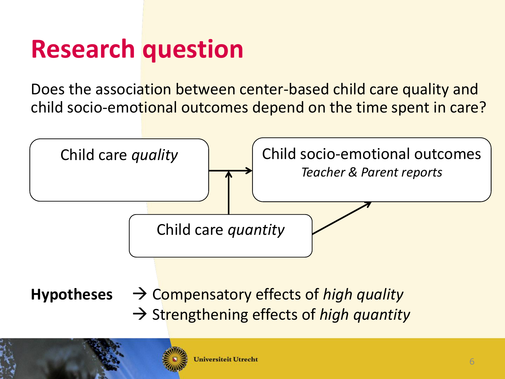# **Research question**

Does the association between center-based child care quality and child socio-emotional outcomes depend on the time spent in care?



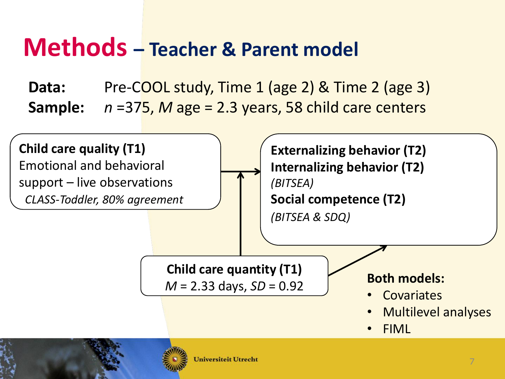### **Methods – Teacher & Parent model**

**Data:** Pre-COOL study, Time 1 (age 2) & Time 2 (age 3) **Sample:** *n* =375, *M* age = 2.3 years, 58 child care centers

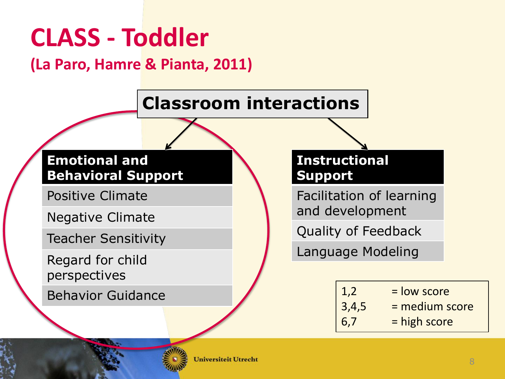# **CLASS - Toddler**

#### **(La Paro, Hamre & Pianta, 2011)**



Regard for child perspectives

Behavior Guidance

Language Modeling

| $\vert 1,2 \vert$ | = low score      |
|-------------------|------------------|
| 3,4,5             | $=$ medium score |
| 6,7               | = high score     |

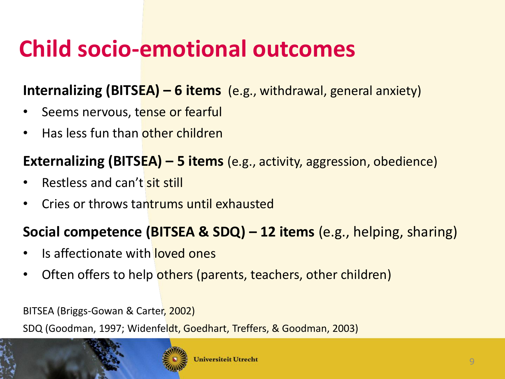## **Child socio-emotional outcomes**

#### **Internalizing (BITSEA) – 6 items** (e.g., withdrawal, general anxiety)

- Seems nervous, tense or fearful
- Has less fun than other children

#### **Externalizing (BITSEA) – 5 items** (e.g., activity, aggression, obedience)

- Restless and can't sit still
- Cries or throws tantrums until exhausted

#### **Social competence (BITSEA & SDQ) – 12 items** (e.g., helping, sharing)

- Is affectionate with loved ones
- Often offers to help others (parents, teachers, other children)

BITSEA (Briggs-Gowan & Carter, 2002)

SDQ (Goodman, 1997; Widenfeldt, Goedhart, Treffers, & Goodman, 2003)



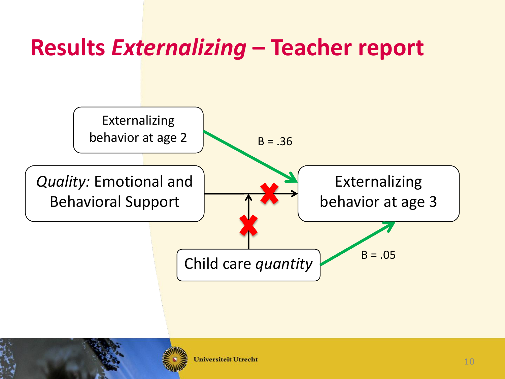### **Results** *Externalizing* **– Teacher report**



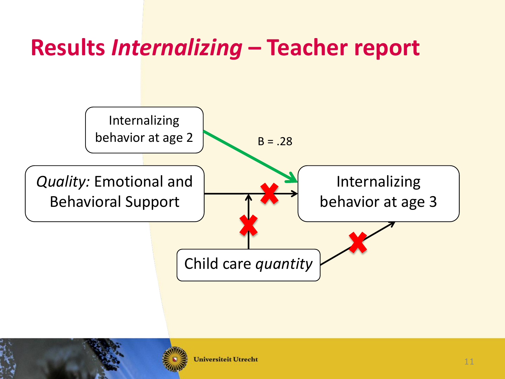### **Results** *Internalizing* **– Teacher report**

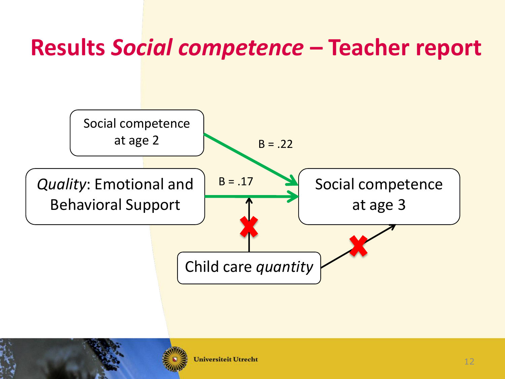## **Results** *Social competence* **– Teacher report**



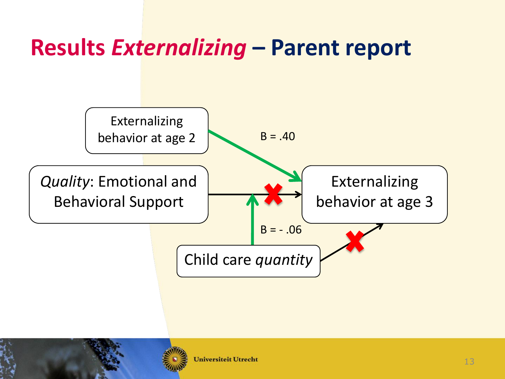### **Results** *Externalizing* **– Parent report**



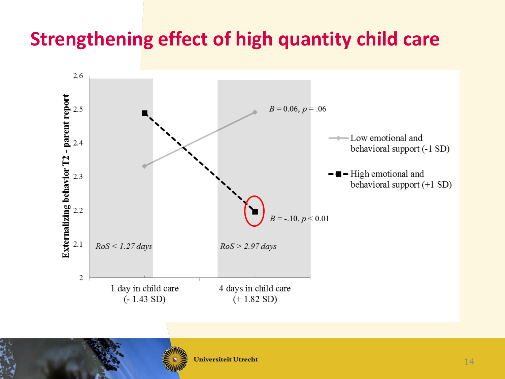### **Strengthening effect of high quantity child care**



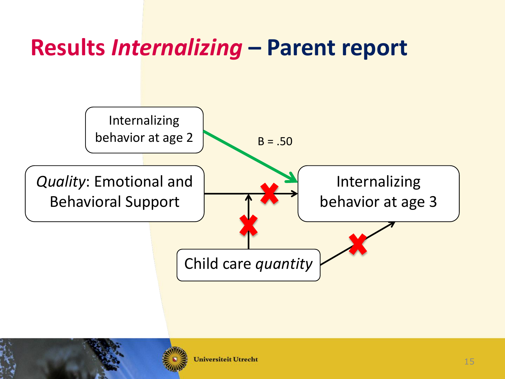### **Results** *Internalizing* **– Parent report**

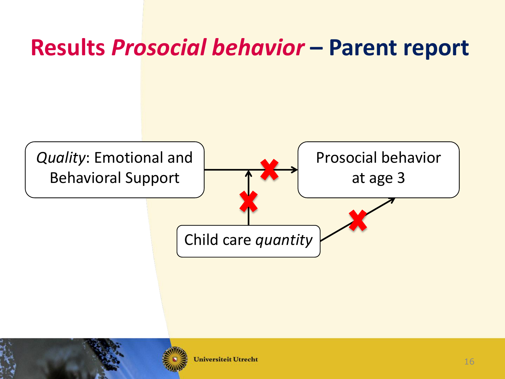### **Results** *Prosocial behavior* **– Parent report**

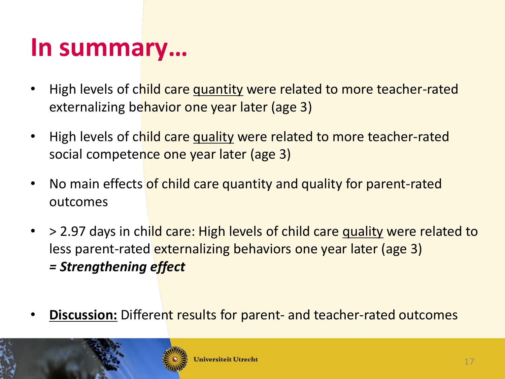## **In summary…**

- High levels of child care quantity were related to more teacher-rated externalizing behavior one year later (age 3)
- High levels of child care quality were related to more teacher-rated social competence one year later (age 3)
- No main effects of child care quantity and quality for parent-rated outcomes
- > 2.97 days in child care: High levels of child care quality were related to less parent-rated externalizing behaviors one year later (age 3) *= Strengthening effect*
- **Discussion:** Different results for parent- and teacher-rated outcomes